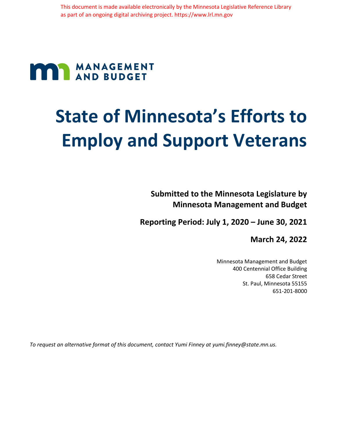# **MANAGEMENT**

# **State of Minnesota's Efforts to Employ and Support Veterans**

**Submitted to the Minnesota Legislature by Minnesota Management and Budget**

**Reporting Period: July 1, 2020 – June 30, 2021**

**March 24, 2022**

Minnesota Management and Budget 400 Centennial Office Building 658 Cedar Street St. Paul, Minnesota 55155 651-201-8000

*To request an alternative format of this document, contact Yumi Finney at yumi.finney@state.mn.us.*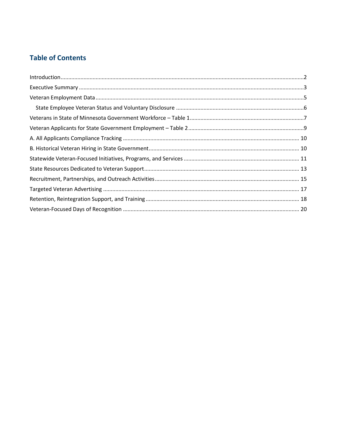## **Table of Contents**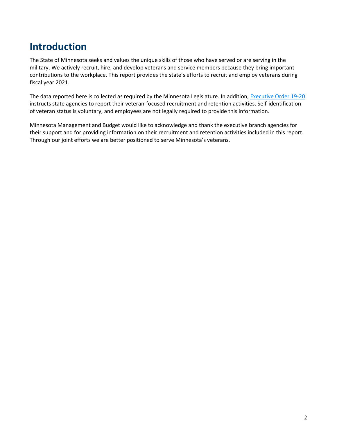# <span id="page-2-0"></span>**Introduction**

The State of Minnesota seeks and values the unique skills of those who have served or are serving in the military. We actively recruit, hire, and develop veterans and service members because they bring important contributions to the workplace. This report provides the state's efforts to recruit and employ veterans during fiscal year 2021.

The data reported here is collected as required by the Minnesota Legislature. In addition, **Executive Order 19-20** instructs state agencies to report their veteran-focused recruitment and retention activities. Self-identification of veteran status is voluntary, and employees are not legally required to provide this information.

Minnesota Management and Budget would like to acknowledge and thank the executive branch agencies for their support and for providing information on their recruitment and retention activities included in this report. Through our joint efforts we are better positioned to serve Minnesota's veterans.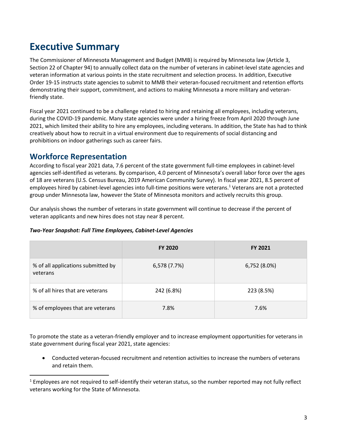# <span id="page-3-0"></span>**Executive Summary**

The Commissioner of Minnesota Management and Budget (MMB) is required by Minnesota law (Article 3, Section 22 of Chapter 94) to annually collect data on the number of veterans in cabinet-level state agencies and veteran information at various points in the state recruitment and selection process. In addition, Executive Order 19-15 instructs state agencies to submit to MMB their veteran-focused recruitment and retention efforts demonstrating their support, commitment, and actions to making Minnesota a more military and veteranfriendly state.

Fiscal year 2021 continued to be a challenge related to hiring and retaining all employees, including veterans, during the COVID-19 pandemic. Many state agencies were under a hiring freeze from April 2020 through June 2021, which limited their ability to hire any employees, including veterans. In addition, the State has had to think creatively about how to recruit in a virtual environment due to requirements of social distancing and prohibitions on indoor gatherings such as career fairs.

# **Workforce Representation**

According to fiscal year 2021 data, 7.6 percent of the state government full-time employees in cabinet-level agencies self-identified as veterans. By comparison, 4.0 percent of Minnesota's overall labor force over the ages of 18 are veterans (U.S. Census Bureau, 2019 American Community Survey). In fiscal year 2021, 8.5 percent of employees hired by cabinet-level agencies into full-time positions were veterans. <sup>1</sup> Veterans are not a protected group under Minnesota law, however the State of Minnesota monitors and actively recruits this group.

Our analysis shows the number of veterans in state government will continue to decrease if the percent of veteran applicants and new hires does not stay near 8 percent.

|                                                | <b>FY 2020</b> | <b>FY 2021</b> |
|------------------------------------------------|----------------|----------------|
| % of all applications submitted by<br>veterans | 6,578 (7.7%)   | 6,752 (8.0%)   |
| % of all hires that are veterans               | 242 (6.8%)     | 223 (8.5%)     |
| % of employees that are veterans               | 7.8%           | 7.6%           |

#### *Two-Year Snapshot: Full Time Employees, Cabinet-Level Agencies*

To promote the state as a veteran-friendly employer and to increase employment opportunities for veterans in state government during fiscal year 2021, state agencies:

• Conducted veteran-focused recruitment and retention activities to increase the numbers of veterans and retain them.

 $1$  Employees are not required to self-identify their veteran status, so the number reported may not fully reflect veterans working for the State of Minnesota.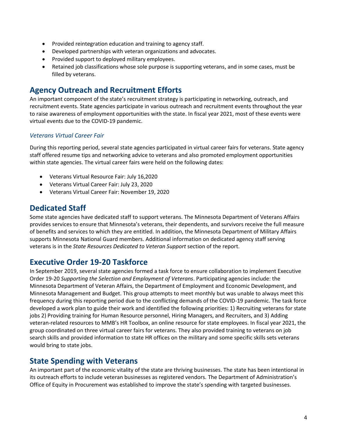- Provided reintegration education and training to agency staff.
- Developed partnerships with veteran organizations and advocates.
- Provided support to deployed military employees.
- Retained job classifications whose sole purpose is supporting veterans, and in some cases, must be filled by veterans.

# **Agency Outreach and Recruitment Efforts**

An important component of the state's recruitment strategy is participating in networking, outreach, and recruitment events. State agencies participate in various outreach and recruitment events throughout the year to raise awareness of employment opportunities with the state. In fiscal year 2021, most of these events were virtual events due to the COVID-19 pandemic.

#### *Veterans Virtual Career Fair*

During this reporting period, several state agencies participated in virtual career fairs for veterans. State agency staff offered resume tips and networking advice to veterans and also promoted employment opportunities within state agencies. The virtual career fairs were held on the following dates:

- Veterans Virtual Resource Fair: July 16,2020
- Veterans Virtual Career Fair: July 23, 2020
- Veterans Virtual Career Fair: November 19, 2020

# **Dedicated Staff**

Some state agencies have dedicated staff to support veterans. The Minnesota Department of Veterans Affairs provides services to ensure that Minnesota's veterans, their dependents, and survivors receive the full measure of benefits and services to which they are entitled. In addition, the Minnesota Department of Military Affairs supports Minnesota National Guard members. Additional information on dedicated agency staff serving veterans is in the *State Resources Dedicated to Veteran Support* section of the report.

#### **Executive Order 19-20 Taskforce**

In September 2019, several state agencies formed a task force to ensure collaboration to implement Executive Order 19-20 *Supporting the Selection and Employment of Veterans*. Participating agencies include: the Minnesota Department of Veteran Affairs, the Department of Employment and Economic Development, and Minnesota Management and Budget. This group attempts to meet monthly but was unable to always meet this frequency during this reporting period due to the conflicting demands of the COVID-19 pandemic. The task force developed a work plan to guide their work and identified the following priorities: 1) Recruiting veterans for state jobs 2) Providing training for Human Resource personnel, Hiring Managers, and Recruiters, and 3) Adding veteran-related resources to MMB's HR Toolbox, an online resource for state employees. In fiscal year 2021, the group coordinated on three virtual career fairs for veterans. They also provided training to veterans on job search skills and provided information to state HR offices on the military and some specific skills sets veterans would bring to state jobs.

#### **State Spending with Veterans**

An important part of the economic vitality of the state are thriving businesses. The state has been intentional in its outreach efforts to include veteran businesses as registered vendors. The Department of Administration's Office of Equity in Procurement was established to improve the state's spending with targeted businesses.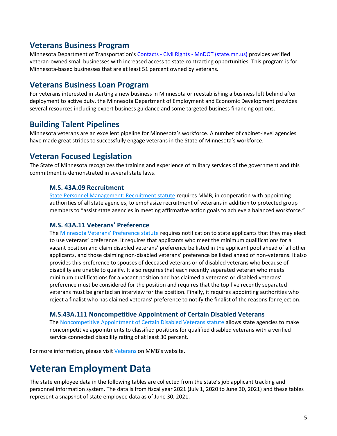#### **Veterans Business Program**

Minnesota Department of Transportation's Contacts - Civil Rights - [MnDOT \(state.mn.us\)](https://www.dot.state.mn.us/civilrights/contacts.html) provides verified veteran-owned small businesses with increased access to state contracting opportunities. This program is for Minnesota-based businesses that are at least 51 percent owned by veterans.

#### **Veterans Business Loan Program**

For veterans interested in starting a new business in Minnesota or reestablishing a business left behind after deployment to active duty, the Minnesota Department of Employment and Economic Development provides several resources including expert business guidance and some targeted business financing options.

## **Building Talent Pipelines**

Minnesota veterans are an excellent pipeline for Minnesota's workforce. A number of cabinet-level agencies have made great strides to successfully engage veterans in the State of Minnesota's workforce.

#### **Veteran Focused Legislation**

The State of Minnesota recognizes the training and experience of military services of the government and this commitment is demonstrated in several state laws.

#### **M.S. 43A.09 Recruitment**

[State Personnel Management: Recruitment statute](https://mn.gov/mmb/assets/9a-recruitment_tcm1059-124107.docx) requires MMB, in cooperation with appointing authorities of all state agencies, to emphasize recruitment of veterans in addition to protected group members to "assist state agencies in meeting affirmative action goals to achieve a balanced workforce."

#### **M.S. 43A.11 Veterans' Preference**

The [Minnesota Veterans' Preferenc](https://www.revisor.mn.gov/statutes/?id=43A.11)e statute requires notification to state applicants that they may elect to use veterans' preference. It requires that applicants who meet the minimum qualifications for a vacant position and claim disabled veterans' preference be listed in the applicant pool ahead of all other applicants, and those claiming non-disabled veterans' preference be listed ahead of non-veterans. It also provides this preference to spouses of deceased veterans or of disabled veterans who because of disability are unable to qualify. It also requires that each recently separated veteran who meets minimum qualifications for a vacant position and has claimed a veterans' or disabled veterans' preference must be considered for the position and requires that the top five recently separated veterans must be granted an interview for the position. Finally, it requires appointing authorities who reject a finalist who has claimed veterans' preference to notify the finalist of the reasons for rejection.

#### **M.S.43A.111 Noncompetitive Appointment of Certain Disabled Veterans**

The [Noncompetitive Appointment of Certain Disabled Veterans statute a](http://www.beta.mmb.state.mn.us/doc/sema4/bull/7312012.pdf)llows state agencies to make noncompetitive appointments to classified positions for qualified disabled veterans with a verified service connected disability rating of at least 30 percent.

For more information, please visi[t Veterans](https://mn.gov/mmb/employee-relations/equal-opportunity/veterans/) on MMB's website.

# <span id="page-5-0"></span>**Veteran Employment Data**

The state employee data in the following tables are collected from the state's job applicant tracking and personnel information system. The data is from fiscal year 2021 (July 1, 2020 to June 30, 2021) and these tables represent a snapshot of state employee data as of June 30, 2021.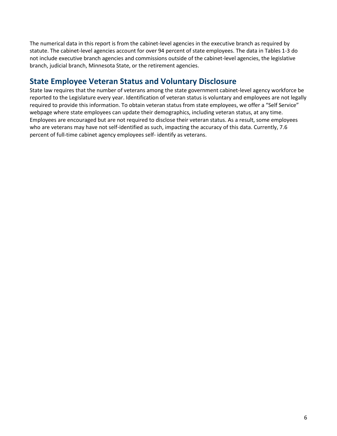The numerical data in this report is from the cabinet-level agencies in the executive branch as required by statute. The cabinet-level agencies account for over 94 percent of state employees. The data in Tables 1-3 do not include executive branch agencies and commissions outside of the cabinet-level agencies, the legislative branch, judicial branch, Minnesota State, or the retirement agencies.

# <span id="page-6-0"></span>**State Employee Veteran Status and Voluntary Disclosure**

State law requires that the number of veterans among the state government cabinet-level agency workforce be reported to the Legislature every year. Identification of veteran status is voluntary and employees are not legally required to provide this information. To obtain veteran status from state employees, we offer a "Self Service" webpage where state employees can update their demographics, including veteran status, at any time. Employees are encouraged but are not required to disclose their veteran status. As a result, some employees who are veterans may have not self-identified as such, impacting the accuracy of this data. Currently, 7.6 percent of full-time cabinet agency employees self- identify as veterans.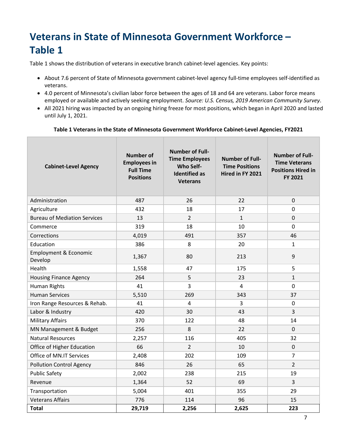# <span id="page-7-0"></span>**Veterans in State of Minnesota Government Workforce – Table 1**

Table 1 shows the distribution of veterans in executive branch cabinet-level agencies. Key points:

- About 7.6 percent of State of Minnesota government cabinet-level agency full-time employees self-identified as veterans.
- 4.0 percent of Minnesota's civilian labor force between the ages of 18 and 64 are veterans. Labor force means employed or available and actively seeking employment. *Source: U.S. Census, 2019 American Community Survey*.
- All 2021 hiring was impacted by an ongoing hiring freeze for most positions, which began in April 2020 and lasted until July 1, 2021.

#### **Table 1 Veterans in the State of Minnesota Government Workforce Cabinet-Level Agencies, FY2021**

| <b>Cabinet-Level Agency</b>                 | <b>Number of</b><br><b>Employees in</b><br><b>Full Time</b><br><b>Positions</b> | <b>Number of Full-</b><br><b>Time Employees</b><br><b>Who Self-</b><br><b>Identified as</b><br><b>Veterans</b> | <b>Number of Full-</b><br><b>Time Positions</b><br>Hired in FY 2021 | <b>Number of Full-</b><br><b>Time Veterans</b><br><b>Positions Hired in</b><br>FY 2021 |
|---------------------------------------------|---------------------------------------------------------------------------------|----------------------------------------------------------------------------------------------------------------|---------------------------------------------------------------------|----------------------------------------------------------------------------------------|
| Administration                              | 487                                                                             | 26                                                                                                             | 22                                                                  | $\mathbf 0$                                                                            |
| Agriculture                                 | 432                                                                             | 18                                                                                                             | 17                                                                  | $\mathbf 0$                                                                            |
| <b>Bureau of Mediation Services</b>         | 13                                                                              | $\overline{2}$                                                                                                 | $\mathbf{1}$                                                        | $\mathbf 0$                                                                            |
| Commerce                                    | 319                                                                             | 18                                                                                                             | 10                                                                  | $\mathbf 0$                                                                            |
| Corrections                                 | 4,019                                                                           | 491                                                                                                            | 357                                                                 | 46                                                                                     |
| Education                                   | 386                                                                             | 8                                                                                                              | 20                                                                  | $\mathbf{1}$                                                                           |
| <b>Employment &amp; Economic</b><br>Develop | 1,367                                                                           | 80                                                                                                             | 213                                                                 | 9                                                                                      |
| Health                                      | 1,558                                                                           | 47                                                                                                             | 175                                                                 | 5                                                                                      |
| <b>Housing Finance Agency</b>               | 264                                                                             | 5                                                                                                              | 23                                                                  | $\mathbf{1}$                                                                           |
| Human Rights                                | 41                                                                              | 3                                                                                                              | $\overline{4}$                                                      | $\mathbf 0$                                                                            |
| <b>Human Services</b>                       | 5,510                                                                           | 269                                                                                                            | 343                                                                 | 37                                                                                     |
| Iron Range Resources & Rehab.               | 41                                                                              | $\overline{4}$                                                                                                 | $\overline{3}$                                                      | $\mathbf 0$                                                                            |
| Labor & Industry                            | 420                                                                             | 30                                                                                                             | 43                                                                  | 3                                                                                      |
| <b>Military Affairs</b>                     | 370                                                                             | 122                                                                                                            | 48                                                                  | 14                                                                                     |
| MN Management & Budget                      | 256                                                                             | 8                                                                                                              | 22                                                                  | $\mathbf 0$                                                                            |
| <b>Natural Resources</b>                    | 2,257                                                                           | 116                                                                                                            | 405                                                                 | 32                                                                                     |
| Office of Higher Education                  | 66                                                                              | $\overline{2}$                                                                                                 | 10                                                                  | $\mathbf 0$                                                                            |
| Office of MN.IT Services                    | 2,408                                                                           | 202                                                                                                            | 109                                                                 | 7                                                                                      |
| <b>Pollution Control Agency</b>             | 846                                                                             | 26                                                                                                             | 65                                                                  | $\overline{2}$                                                                         |
| <b>Public Safety</b>                        | 2,002                                                                           | 238                                                                                                            | 215                                                                 | 19                                                                                     |
| Revenue                                     | 1,364                                                                           | 52                                                                                                             | 69                                                                  | 3                                                                                      |
| Transportation                              | 5,004                                                                           | 401                                                                                                            | 355                                                                 | 29                                                                                     |
| <b>Veterans Affairs</b>                     | 776                                                                             | 114                                                                                                            | 96                                                                  | 15                                                                                     |
| <b>Total</b>                                | 29,719                                                                          | 2,256                                                                                                          | 2,625                                                               | 223                                                                                    |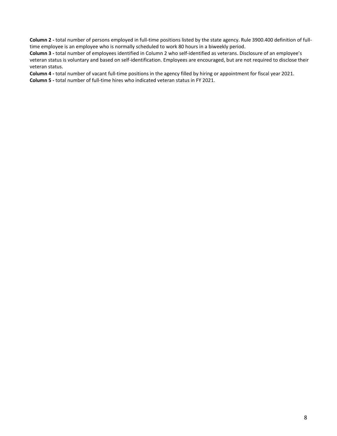**Column 2 -** total number of persons employed in full-time positions listed by the state agency. Rule 3900.400 definition of fulltime employee is an employee who is normally scheduled to work 80 hours in a biweekly period.

**Column 3 -** total number of employees identified in Column 2 who self-identified as veterans. Disclosure of an employee's veteran status is voluntary and based on self-identification. Employees are encouraged, but are not required to disclose their veteran status.

**Column 4 -** total number of vacant full-time positions in the agency filled by hiring or appointment for fiscal year 2021.

**Column 5 -** total number of full-time hires who indicated veteran status in FY 2021.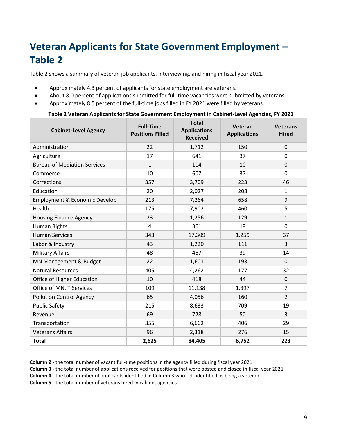# <span id="page-9-0"></span>**Veteran Applicants for State Government Employment – Table 2**

Table 2 shows a summary of veteran job applicants, interviewing, and hiring in fiscal year 2021.

- Approximately 4.3 percent of applicants for state employment are veterans.
- About 8.0 percent of applications submitted for full-time vacancies were submitted by veterans.
- Approximately 8.5 percent of the full-time jobs filled in FY 2021 were filled by veterans.

#### **Table 2 Veteran Applicants for State Government Employment in Cabinet-Level Agencies, FY 2021**

| <b>Cabinet-Level Agency</b>         | <b>Full-Time</b><br><b>Positions Filled</b> | <b>Total</b><br><b>Applications</b><br><b>Received</b> | Veteran<br><b>Applications</b> | <b>Veterans</b><br><b>Hired</b> |
|-------------------------------------|---------------------------------------------|--------------------------------------------------------|--------------------------------|---------------------------------|
| Administration                      | 22                                          | 1,712                                                  | 150                            | 0                               |
| Agriculture                         | 17                                          | 641                                                    | 37                             | 0                               |
| <b>Bureau of Mediation Services</b> | $\mathbf{1}$                                | 114                                                    | 10                             | 0                               |
| Commerce                            | 10                                          | 607                                                    | 37                             | 0                               |
| Corrections                         | 357                                         | 3,709                                                  | 223                            | 46                              |
| Education                           | 20                                          | 2,027                                                  | 208                            | $\mathbf{1}$                    |
| Employment & Economic Develop       | 213                                         | 7,264                                                  | 658                            | 9                               |
| Health                              | 175                                         | 7,902                                                  | 460                            | 5                               |
| <b>Housing Finance Agency</b>       | 23                                          | 1,256                                                  | 129                            | $\mathbf{1}$                    |
| Human Rights                        | $\overline{4}$                              | 361                                                    | 19                             | $\Omega$                        |
| <b>Human Services</b>               | 343                                         | 17,309                                                 | 1,259                          | 37                              |
| Labor & Industry                    | 43                                          | 1,220                                                  | 111                            | 3                               |
| <b>Military Affairs</b>             | 48                                          | 467                                                    | 39                             | 14                              |
| MN Management & Budget              | 22                                          | 1,601                                                  | 193                            | $\Omega$                        |
| <b>Natural Resources</b>            | 405                                         | 4,262                                                  | 177                            | 32                              |
| Office of Higher Education          | 10                                          | 418                                                    | 44                             | 0                               |
| Office of MN.IT Services            | 109                                         | 11,138                                                 | 1,397                          | $\overline{7}$                  |
| <b>Pollution Control Agency</b>     | 65                                          | 4,056                                                  | 160                            | $\overline{2}$                  |
| <b>Public Safety</b>                | 215                                         | 8,633                                                  | 709                            | 19                              |
| Revenue                             | 69                                          | 728                                                    | 50                             | 3                               |
| Transportation                      | 355                                         | 6,662                                                  | 406                            | 29                              |
| <b>Veterans Affairs</b>             | 96                                          | 2,318                                                  | 276                            | 15                              |
| <b>Total</b>                        | 2,625                                       | 84,405                                                 | 6,752                          | 223                             |

**Column 2 -** the total number of vacant full-time positions in the agency filled during fiscal year 2021

**Column 3 -** the total number of applications received for positions that were posted and closed in fiscal year 2021

**Column 4 -** the total number of applicants identified in Column 3 who self-identified as being a veteran

**Column 5 -** the total number of veterans hired in cabinet agencies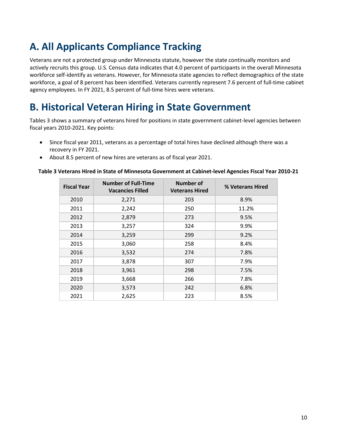# <span id="page-10-0"></span>**A. All Applicants Compliance Tracking**

Veterans are not a protected group under Minnesota statute, however the state continually monitors and actively recruits this group. U.S. Census data indicates that 4.0 percent of participants in the overall Minnesota workforce self-identify as veterans. However, for Minnesota state agencies to reflect demographics of the state workforce, a goal of 8 percent has been identified. Veterans currently represent 7.6 percent of full-time cabinet agency employees. In FY 2021, 8.5 percent of full-time hires were veterans.

# <span id="page-10-1"></span>**B. Historical Veteran Hiring in State Government**

Tables 3 shows a summary of veterans hired for positions in state government cabinet-level agencies between fiscal years 2010-2021. Key points:

- Since fiscal year 2011, veterans as a percentage of total hires have declined although there was a recovery in FY 2021.
- About 8.5 percent of new hires are veterans as of fiscal year 2021.

| <b>Fiscal Year</b> | <b>Number of Full-Time</b><br><b>Vacancies Filled</b> | Number of<br><b>Veterans Hired</b> | % Veterans Hired |
|--------------------|-------------------------------------------------------|------------------------------------|------------------|
| 2010               | 2,271                                                 | 203                                | 8.9%             |
| 2011               | 2,242                                                 | 250                                | 11.2%            |
| 2012               | 2,879                                                 | 273                                | 9.5%             |
| 2013               | 3,257                                                 | 324                                | 9.9%             |
| 2014               | 3,259                                                 | 299                                | 9.2%             |
| 2015               | 3,060                                                 | 258                                | 8.4%             |
| 2016               | 3,532                                                 | 274                                | 7.8%             |
| 2017               | 3,878                                                 | 307                                | 7.9%             |
| 2018               | 3,961                                                 | 298                                | 7.5%             |
| 2019               | 3,668                                                 | 266                                | 7.8%             |
| 2020               | 3,573                                                 | 242                                | 6.8%             |
| 2021               | 2,625                                                 | 223                                | 8.5%             |

#### **Table 3 Veterans Hired in State of Minnesota Government at Cabinet-level Agencies Fiscal Year 2010-21**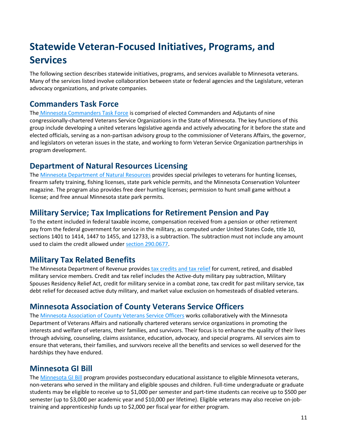# <span id="page-11-0"></span>**Statewide Veteran-Focused Initiatives, Programs, and Services**

The following section describes statewide initiatives, programs, and services available to Minnesota veterans. Many of the services listed involve collaboration between state or federal agencies and the Legislature, veteran advocacy organizations, and private companies.

# **Commanders Task Force**

The [Minnesota Commanders Task Force](http://www.mnctf.org/) is comprised of elected Commanders and Adjutants of nine congressionally-chartered Veterans Service Organizations in the State of Minnesota. The key functions of this group include developing a united veterans legislative agenda and actively advocating for it before the state and elected officials, serving as a non-partisan advisory group to the commissioner of Veterans Affairs, the governor, and legislators on veteran issues in the state, and working to form Veteran Service Organization partnerships in program development.

## **Department of Natural Resources Licensing**

The [Minnesota Department of Natural Resources](http://www.dnr.state.mn.us/licenses/military/index.html) provides special privileges to veterans for hunting licenses, firearm safety training, fishing licenses, state park vehicle permits, and the Minnesota Conservation Volunteer magazine. The program also provides free deer hunting licenses; permission to hunt small game without a license; and free annual Minnesota state park permits.

# **Military Service; Tax Implications for Retirement Pension and Pay**

To the extent included in federal taxable income, compensation received from a pension or other retirement pay from the federal government for service in the military, as computed under United States Code, title 10, sections 1401 to 1414, 1447 to 1455, and 12733, is a subtraction. The subtraction must not include any amount used to claim the credit allowed unde[r section 290.0677.](https://www.revisor.mn.gov/statutes/?id=290.0677)

# **Military Tax Related Benefits**

The Minnesota Department of Revenue provides [tax credits and tax relief](https://www.revenue.state.mn.us/military-service-members) for current, retired, and disabled military service members. Credit and tax relief includes the Active-duty military pay subtraction, Military Spouses Residency Relief Act, credit for military service in a combat zone, tax credit for past military service, tax debt relief for deceased active duty military, and market value exclusion on homesteads of disabled veterans.

# **Minnesota Association of County Veterans Service Officers**

The [Minnesota Association of County Veterans Service Officers](http://www.macvso.org/) works collaboratively with the Minnesota Department of Veterans Affairs and nationally chartered veterans service organizations in promoting the interests and welfare of veterans, their families, and survivors. Their focus is to enhance the quality of their lives through advising, counseling, claims assistance, education, advocacy, and special programs. All services aim to ensure that veterans, their families, and survivors receive all the benefits and services so well deserved for the hardships they have endured.

# **Minnesota GI Bill**

The [Minnesota GI Bill](https://www.ohe.state.mn.us/mPg.cfm?pageID=1803) program provides postsecondary educational assistance to eligible Minnesota veterans, non-veterans who served in the military and eligible spouses and children. Full-time undergraduate or graduate students may be eligible to receive up to \$1,000 per semester and part-time students can receive up to \$500 per semester (up to \$3,000 per academic year and \$10,000 per lifetime). Eligible veterans may also receive [on-job](https://mn.gov/mdva/resources/employment/ojtapprenticeship.jsp)[training and apprenticeship funds](https://mn.gov/mdva/resources/employment/ojtapprenticeship.jsp) up to \$2,000 per fiscal year for either program.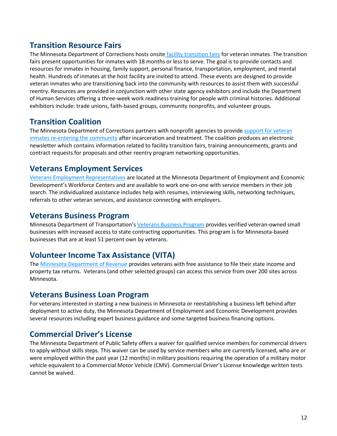# **Transition Resource Fairs**

The Minnesota Department of Corrections hosts onsite [facility transition fairs](https://mn.gov/doc/community-supervision/reentry-resources/) for veteran inmates. The transition fairs present opportunities for inmates with 18 months or less to serve. The goal is to provide contacts and resources for inmates in housing, family support, personal finance, transportation, employment, and mental health. Hundreds of inmates at the host facility are invited to attend. These events are designed to provide veteran inmates who are transitioning back into the community with resources to assist them with successful reentry. Resources are provided in conjunction with other state agency exhibitors and include the Department of Human Services offering a three-week work readiness training for people with criminal histories. Additional exhibitors include: trade unions, faith-based groups, community nonprofits, and volunteer groups.

## **Transition Coalition**

The Minnesota Department of Corrections partners with nonprofit agencies to provid[e support for veteran](https://mn.gov/doc/community-supervision/reentry-resources/)  inmates [re-entering the community](https://mn.gov/doc/community-supervision/reentry-resources/) after incarceration and treatment. The coalition produces an electronic newsletter which contains information related to facility transition fairs, training announcements, grants and contract requests for proposals and other reentry program networking opportunities.

## **Veterans Employment Services**

[Veterans Employment Representatives](https://mn.gov/deed/job-seekers/veteran-services/) are located at the Minnesota Department of Employment and Economic Development's Workforce Centers and are available to work one-on-one with service members in their job search. The individualized assistance includes help with resumes, interviewing skills, networking techniques, referrals to other veteran services, and assistance connecting with employers.

## **Veterans Business Program**

Minnesota Department of Transportation's [Veterans Business Program](http://www.dot.state.mn.us/civilrights/tgb-veterans.html) provides verified veteran-owned small businesses with increased access to state contracting opportunities. This program is for Minnesota-based businesses that are at least 51 percent own by veterans.

#### **Volunteer Income Tax Assistance (VITA)**

The [Minnesota Department of Revenue](https://www.revenue.state.mn.us/free-tax-preparation-sites) provides veterans with free assistance to file their state income and property tax returns. Veterans (and other selected groups) can access this service from over 200 sites across Minnesota.

#### **Veterans Business Loan Program**

For veterans interested in starting a new business in Minnesota or reestablishing a business left behind after deployment to active duty, the Minnesota Department of Employment and Economic Development provides several resources including expert business guidance and some targeted business financing options.

# **Commercial Driver's License**

The Minnesota Department of Public Safety offers a waiver for qualified service members for commercial drivers to apply without skills steps. This waiver can be used by service members who are currently licensed, who are or were employed within the past year (12 months) in military positions requiring the operation of a military motor vehicle equivalent to a Commercial Motor Vehicle (CMV). Commercial Driver's License knowledge written tests cannot be waived.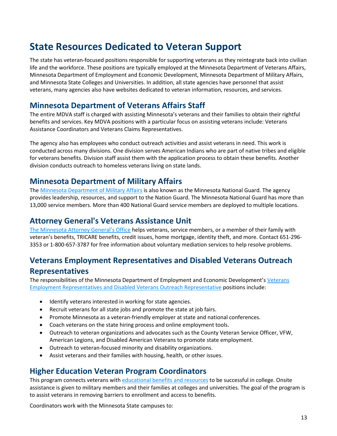# <span id="page-13-0"></span>**State Resources Dedicated to Veteran Support**

The state has veteran-focused positions responsible for supporting veterans as they reintegrate back into civilian life and the workforce. These positions are typically employed at the Minnesota Department of Veterans Affairs, Minnesota Department of Employment and Economic Development, Minnesota Department of Military Affairs, and Minnesota State Colleges and Universities. In addition, all state agencies have personnel that assist veterans, many agencies also have websites dedicated to veteran information, resources, and services.

## **Minnesota Department of Veterans Affairs Staff**

The entire MDVA staff is charged with assisting Minnesota's veterans and their families to obtain their rightful benefits and services. Key MDVA positions with a particular focus on assisting veterans include: Veterans Assistance Coordinators and Veterans Claims Representatives.

The agency also has employees who conduct outreach activities and assist veterans in need. This work is conducted across many divisions. One division serves American Indians who are part of native tribes and eligible for veterans benefits. Division staff assist them with the application process to obtain these benefits. Another division conducts outreach to homeless veterans living on state lands.

## **Minnesota Department of Military Affairs**

The [Minnesota Department of Military Affairs](http://www.minnesotanationalguard.org/) is also known as the Minnesota National Guard. The agency provides leadership, resources, and support to the Nation Guard. The Minnesota National Guard has more than 13,000 service members. More than 400 National Guard service members are deployed to multiple locations.

# **Attorney General's Veterans Assistance Uni[t](https://www.ag.state.mn.us/Consumer/Handbooks/VetHnbk/Default.asp)**

[The Minnesota Attorney General's Office](https://www.ag.state.mn.us/Consumer/Handbooks/VetHnbk/Default.asp) helps veterans, service members, or a member of their family with veteran's benefits, TRICARE benefits, credit issues, home mortgage, identity theft, and more. Contact 651-296- 3353 or 1-800-657-3787 for free information about voluntary mediation services to help resolve problems.

# **Veterans Employment Representatives and Disabled Veterans Outreach Representatives**

The responsibilities of the Minnesota Department of Employment and Economic Development's [Veterans](https://mn.gov/deed/job-seekers/veteran-services/)  [Employment Representatives and Disabled Veterans Outreach Representative](https://mn.gov/deed/job-seekers/veteran-services/) positions include:

- Identify veterans interested in working for state agencies.
- Recruit veterans for all state jobs and promote the state at job fairs.
- Promote Minnesota as a veteran-friendly employer at state and national conferences.
- Coach veterans on the state hiring process and online employment tools.
- Outreach to veteran organizations and advocates such as the County Veteran Service Officer, VFW, American Legions, and Disabled American Veterans to promote state employment.
- Outreach to veteran-focused minority and disability organizations.
- Assist veterans and their families with housing, health, or other issues.

#### **Higher Education Veteran Program Coordinators**

This program connects veterans wit[h educational benefits and resources](https://mn.gov/mdva/resources/education/higheredveteransprograms.jsp) to be successful in college. Onsite assistance is given to military members and their families at colleges and universities. The goal of the program is to assist veterans in removing barriers to enrollment and access to benefits.

Coordinators work with the Minnesota State campuses to: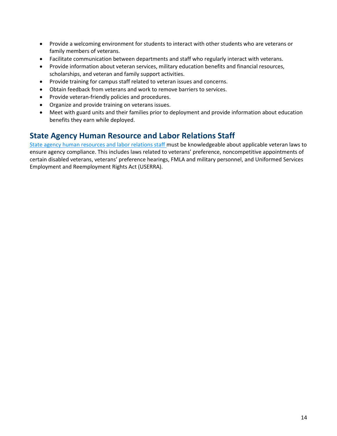- Provide a welcoming environment for students to interact with other students who are veterans or family members of veterans.
- Facilitate communication between departments and staff who regularly interact with veterans.
- Provide information about veteran services, military education benefits and financial resources, scholarships, and veteran and family support activities.
- Provide training for campus staff related to veteran issues and concerns.
- Obtain feedback from veterans and work to remove barriers to services.
- Provide veteran-friendly policies and procedures.
- Organize and provide training on veterans issues.
- Meet with guard units and their families prior to deployment and provide information about education benefits they earn while deployed.

## **State Agency Human Resource and Labor Relations Staff**

[State agency human resources and labor relations staff m](https://mn.gov/mmb/employee-relations/equal-opportunity/veterans/)ust be knowledgeable about applicable veteran laws to ensure agency compliance. This includes laws related to veterans' preference, noncompetitive appointments of certain disabled veterans, veterans' preference hearings, FMLA and military personnel, and Uniformed Services Employment and Reemployment Rights Act (USERRA).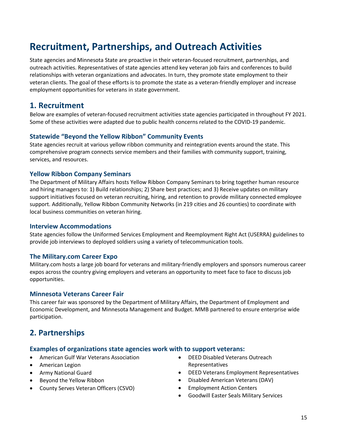# <span id="page-15-0"></span>**Recruitment, Partnerships, and Outreach Activities**

State agencies and Minnesota State are proactive in their veteran-focused recruitment, partnerships, and outreach activities. Representatives of state agencies attend key veteran job fairs and conferences to build relationships with veteran organizations and advocates. In turn, they promote state employment to their veteran clients. The goal of these efforts is to promote the state as a veteran-friendly employer and increase employment opportunities for veterans in state government.

#### **1. Recruitment**

Below are examples of veteran-focused recruitment activities state agencies participated in throughout FY 2021. Some of these activities were adapted due to public health concerns related to the COVID-19 pandemic.

#### **Statewide "Beyond the Yellow Ribbon" Community Events**

State agencies recruit at various yellow ribbon community and reintegration events around the state. This comprehensive program connects service members and their families with community support, training, services, and resources.

#### **Yellow Ribbon Company Seminars**

The Department of Military Affairs hosts Yellow Ribbon Company Seminars to bring together human resource and hiring managers to: 1) Build relationships; 2) Share best practices; and 3) Receive updates on military support initiatives focused on veteran recruiting, hiring, and retention to provide military connected employee support. Additionally, Yellow Ribbon Community Networks (in 219 cities and 26 counties) to coordinate with local business communities on veteran hiring.

#### **Interview Accommodations**

State agencies follow the Uniformed Services Employment and Reemployment Right Act (USERRA) guidelines to provide job interviews to deployed soldiers using a variety of telecommunication tools.

#### **The Military.com Career Expo**

Military.com hosts a large job board for veterans and military-friendly employers and sponsors numerous career expos across the country giving employers and veterans an opportunity to meet face to face to discuss job opportunities.

#### **Minnesota Veterans Career Fair**

This career fair was sponsored by the Department of Military Affairs, the Department of Employment and Economic Development, and Minnesota Management and Budget. MMB partnered to ensure enterprise wide participation.

#### **2. Partnerships**

#### **Examples of organizations state agencies work with to support veterans:**

- American Gulf War Veterans Association
- American Legion
- Army National Guard
- Beyond the Yellow Ribbon
- County Serves Veteran Officers (CSVO)
- DEED Disabled Veterans Outreach Representatives
- DEED Veterans Employment Representatives
- Disabled American Veterans (DAV)
- **Employment Action Centers**
- Goodwill Easter Seals Military Services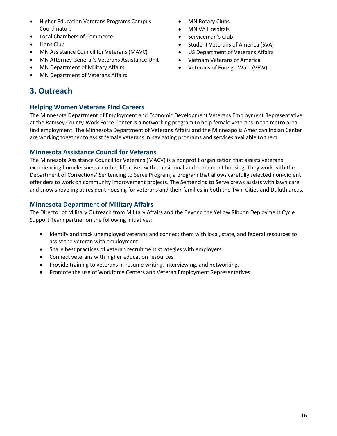- Higher Education Veterans Programs Campus Coordinators
- Local Chambers of Commerce
- Lions Club
- MN Assistance Council for Veterans (MAVC)
- MN Attorney General's Veterans Assistance Unit
- MN Department of Military Affairs
- MN Department of Veterans Affairs

# **3. Outreach**

#### **Helping Women Veterans Find Careers**

The Minnesota Department of Employment and Economic Development Veterans Employment Representative at the Ramsey County-Work Force Center is a networking program to help female veterans in the metro area find employment. The Minnesota Department of Veterans Affairs and the Minneapolis American Indian Center are working together to assist female veterans in navigating programs and services available to them.

#### **Minnesota Assistance Council for Veterans**

The Minnesota Assistance Council for Veterans (MACV) is a nonprofit organization that assists veterans experiencing homelessness or other life crises with transitional and permanent housing. They work with the Department of Corrections' Sentencing to Serve Program, a program that allows carefully selected non-violent offenders to work on community improvement projects. The Sentencing to Serve crews assists with lawn care and snow shoveling at resident housing for veterans and their families in both the Twin Cities and Duluth areas.

#### **Minnesota Department of Military Affairs**

The Director of Military Outreach from Military Affairs and the Beyond the Yellow Ribbon Deployment Cycle Support Team partner on the following initiatives:

- Identify and track unemployed veterans and connect them with local, state, and federal resources to assist the veteran with employment.
- Share best practices of veteran recruitment strategies with employers.
- Connect veterans with higher education resources.
- Provide training to veterans in resume writing, interviewing, and networking.
- Promote the use of Workforce Centers and Veteran Employment Representatives.
- MN Rotary Clubs
- MN VA Hospitals
- Serviceman's Club
- Student Veterans of America (SVA)
- US Department of Veterans Affairs
- Vietnam Veterans of America
- Veterans of Foreign Wars (VFW)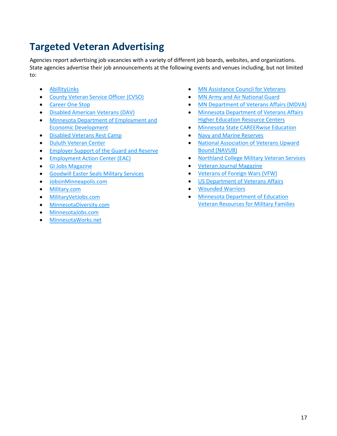# <span id="page-17-0"></span>**Targeted Veteran Advertising**

Agencies report advertising job vacancies with a variety of different job boards, websites, and organizations. State agencies advertise their job announcements at the following events and venues including, but not limited to:

- [AbillityLinks](https://abilitylinks.org/)
- [County Veteran Service Officer](https://www.nacvso.org/) (CVSO)
- [Career One Stop](https://www.careeronestop.org/)
- [Disabled American Veterans](https://www.dav.org/) (DAV)
- [Minnesota Department of Employment and](https://mn.gov/deed/)  [Economic Development](https://mn.gov/deed/)
- [Disabled Veterans Rest Camp](http://www.vetscampmn.org/)
- [Duluth Veteran Center](https://www.va.gov/directory/guide/facility.asp?ID=425)
- [Employer Support of the Guard and Reserve](https://esgr.mil/)
- [Employment Action Center \(EAC\)](https://www.prlog.org/11877184-mpc-partners-with-eac-to-create-jobs-for-veterans.html)
- [GI Jobs Magazine](http://www.gijobs.com/)
- [Goodwill Easter Seals Military Services](http://www.goodwilleasterseals.org/)
- [JobsinMinneapolis.com](https://www.jobsinminneapolis.com/)
- [Military.com](https://www.military.com/)
- [MilitaryVetJobs.com](file://///filer/share/EHR/Workforce%20Diversity/10%20Reports/Veteran%20Report/militaryvetjobs.com)
- [MinnesotaDiversity.com](https://www.minnesotadiversity.com/about-us)
- [MinnesotaJobs.com](https://gcc01.safelinks.protection.outlook.com/?url=http%3A%2F%2Fminnesotajobs.com%2F&data=02%7C01%7CNickyia.Cogshell%40state.mn.us%7C06214fafa1df4ee1828408d7b6f96aaa%7Ceb14b04624c445198f26b89c2159828c%7C0%7C0%7C637179054654836963&sdata=x2M1Pbh8jyMRYuMQthJWV1FSM95kQSGjvIQsqBE%2B7eE%3D&reserved=0)
- [MinnesotaWorks.net](http://www.minnesotaworks.net/)
- [MN Assistance Council for Veterans](http://www.mac-v.org/)
- [MN Army and Air National Guard](http://www.minnesotanationalguard.org/)
- [MN Department of Veterans Affairs \(MDVA\)](file://///filer/share/EHR/Workforce%20Diversity/10%20Reports/Veteran%20Report/mn.gov/mdva)
- [Minnesota Department of Veterans Affairs](https://mn.gov/mdva/resources/education/ocrc.jsp)  [Higher Education Resource Centers](https://mn.gov/mdva/resources/education/ocrc.jsp)
- [Minnesota State CAREERwise Education](https://careerwise.minnstate.edu/)
- [Navy and Marine Reserves](http://www.marines.com/)
- [National Association of Veterans Upward](http://www.navub.org/)  [Bound \(NAVUB\)](http://www.navub.org/)
- [Northland College Military Veteran Services](https://www.northland.edu/live/services/veterans)
- [Veteran Journal Magazine](http://www.theveteranjournal.net/)
- [Veterans of Foreign Wars \(VFW\)](http://www.vfw.org/)
- [US Department of Veterans Affairs](http://www.va.gov/)
- [Wounded Warriors](https://www.woundedwarriorproject.org/)
- [Minnesota Department of Education](http://education.state.mn.us/MDE/dse/milfam/)  [Veteran Resources for Military Families](http://education.state.mn.us/MDE/dse/milfam/)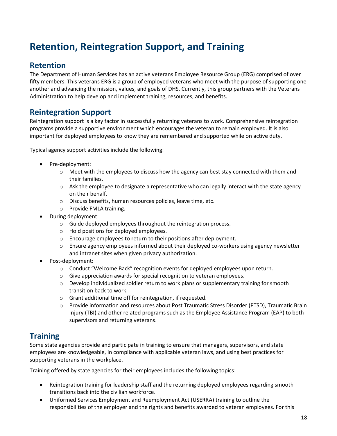# <span id="page-18-0"></span>**Retention, Reintegration Support, and Training**

#### **Retention**

The Department of Human Services has an active veterans Employee Resource Group (ERG) comprised of over fifty members. This veterans ERG is a group of employed veterans who meet with the purpose of supporting one another and advancing the mission, values, and goals of DHS. Currently, this group partners with the Veterans Administration to help develop and implement training, resources, and benefits.

## **Reintegration Support**

Reintegration support is a key factor in successfully returning veterans to work. Comprehensive reintegration programs provide a supportive environment which encourages the veteran to remain employed. It is also important for deployed employees to know they are remembered and supported while on active duty.

Typical agency support activities include the following:

- Pre-deployment:
	- $\circ$  Meet with the employees to discuss how the agency can best stay connected with them and their families.
	- $\circ$  Ask the employee to designate a representative who can legally interact with the state agency on their behalf.
	- o Discuss benefits, human resources policies, leave time, etc.
	- o Provide FMLA training.
- During deployment:
	- o Guide deployed employees throughout the reintegration process.
	- o Hold positions for deployed employees.
	- o Encourage employees to return to their positions after deployment.
	- o Ensure agency employees informed about their deployed co-workers using agency newsletter and intranet sites when given privacy authorization.
- Post-deployment:
	- $\circ$  Conduct "Welcome Back" recognition events for deployed employees upon return.
	- o Give appreciation awards for special recognition to veteran employees.
	- $\circ$  Develop individualized soldier return to work plans or supplementary training for smooth transition back to work.
	- o Grant additional time off for reintegration, if requested.
	- o Provide information and resources about Post Traumatic Stress Disorder (PTSD), Traumatic Brain Injury (TBI) and other related programs such as the Employee Assistance Program (EAP) to both supervisors and returning veterans.

# **Training**

Some state agencies provide and participate in training to ensure that managers, supervisors, and state employees are knowledgeable, in compliance with applicable veteran laws, and using best practices for supporting veterans in the workplace.

Training offered by state agencies for their employees includes the following topics:

- Reintegration training for leadership staff and the returning deployed employees regarding smooth transitions back into the civilian workforce.
- Uniformed Services Employment and Reemployment Act (USERRA) training to outline the responsibilities of the employer and the rights and benefits awarded to veteran employees. For this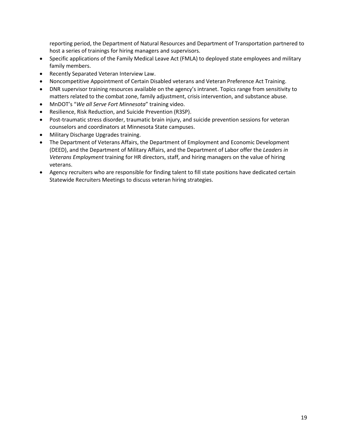reporting period, the Department of Natural Resources and Department of Transportation partnered to host a series of trainings for hiring managers and supervisors.

- Specific applications of the Family Medical Leave Act (FMLA) to deployed state employees and military family members.
- Recently Separated Veteran Interview Law.
- Noncompetitive Appointment of Certain Disabled veterans and Veteran Preference Act Training.
- DNR supervisor training resources available on the agency's intranet. Topics range from sensitivity to matters related to the combat zone, family adjustment, crisis intervention, and substance abuse.
- MnDOT's "*We all Serve Fort Minnesota*" training video.
- Resilience, Risk Reduction, and Suicide Prevention (R3SP).
- Post-traumatic stress disorder, traumatic brain injury, and suicide prevention sessions for veteran counselors and coordinators at Minnesota State campuses.
- Military Discharge Upgrades training.
- The Department of Veterans Affairs, the Department of Employment and Economic Development (DEED), and the Department of Military Affairs, and the Department of Labor offer the *Leaders in Veterans Employment* training for HR directors, staff, and hiring managers on the value of hiring veterans.
- Agency recruiters who are responsible for finding talent to fill state positions have dedicated certain Statewide Recruiters Meetings to discuss veteran hiring strategies.